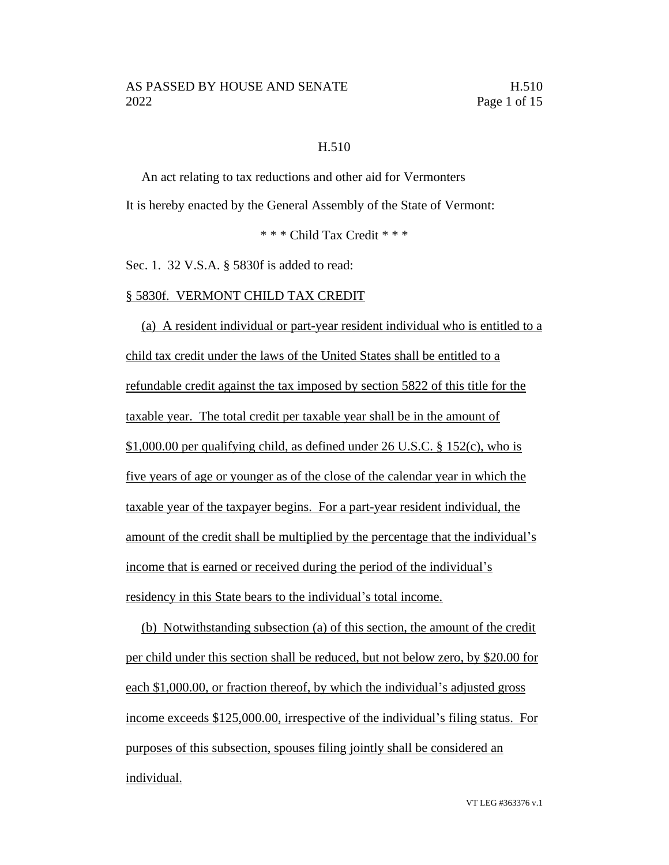### H.510

An act relating to tax reductions and other aid for Vermonters It is hereby enacted by the General Assembly of the State of Vermont:

\* \* \* Child Tax Credit \* \* \*

Sec. 1. 32 V.S.A. § 5830f is added to read:

#### § 5830f. VERMONT CHILD TAX CREDIT

(a) A resident individual or part-year resident individual who is entitled to a child tax credit under the laws of the United States shall be entitled to a refundable credit against the tax imposed by section 5822 of this title for the taxable year. The total credit per taxable year shall be in the amount of \$1,000.00 per qualifying child, as defined under 26 U.S.C. § 152(c), who is five years of age or younger as of the close of the calendar year in which the taxable year of the taxpayer begins. For a part-year resident individual, the amount of the credit shall be multiplied by the percentage that the individual's income that is earned or received during the period of the individual's residency in this State bears to the individual's total income.

(b) Notwithstanding subsection (a) of this section, the amount of the credit per child under this section shall be reduced, but not below zero, by \$20.00 for each \$1,000.00, or fraction thereof, by which the individual's adjusted gross income exceeds \$125,000.00, irrespective of the individual's filing status. For purposes of this subsection, spouses filing jointly shall be considered an individual.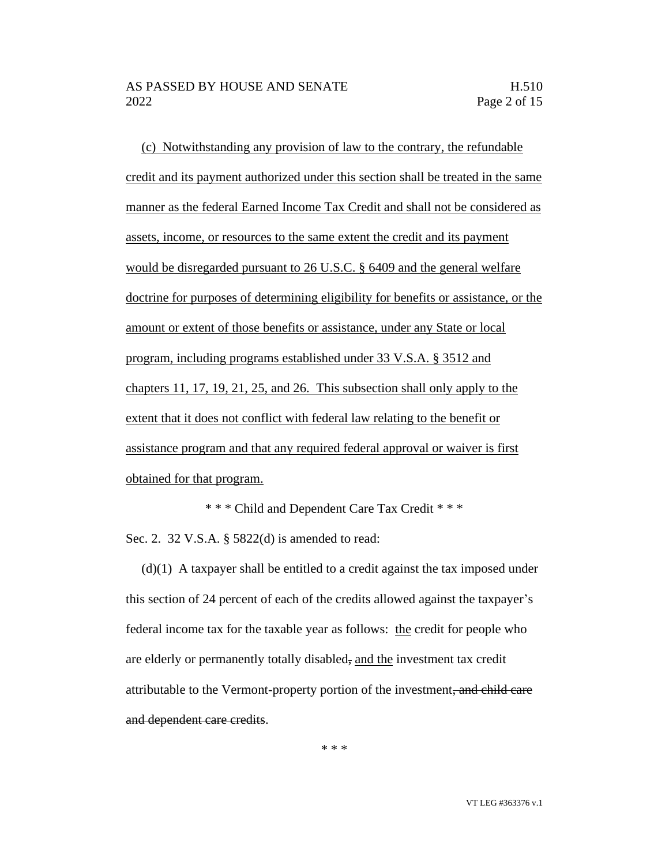(c) Notwithstanding any provision of law to the contrary, the refundable credit and its payment authorized under this section shall be treated in the same manner as the federal Earned Income Tax Credit and shall not be considered as assets, income, or resources to the same extent the credit and its payment would be disregarded pursuant to 26 U.S.C. § 6409 and the general welfare doctrine for purposes of determining eligibility for benefits or assistance, or the amount or extent of those benefits or assistance, under any State or local program, including programs established under 33 V.S.A. § 3512 and chapters 11, 17, 19, 21, 25, and 26. This subsection shall only apply to the extent that it does not conflict with federal law relating to the benefit or assistance program and that any required federal approval or waiver is first obtained for that program.

\* \* \* Child and Dependent Care Tax Credit \* \* \*

Sec. 2. 32 V.S.A. § 5822(d) is amended to read:

(d)(1) A taxpayer shall be entitled to a credit against the tax imposed under this section of 24 percent of each of the credits allowed against the taxpayer's federal income tax for the taxable year as follows: the credit for people who are elderly or permanently totally disabled, and the investment tax credit attributable to the Vermont-property portion of the investment, and child care and dependent care credits.

\* \* \*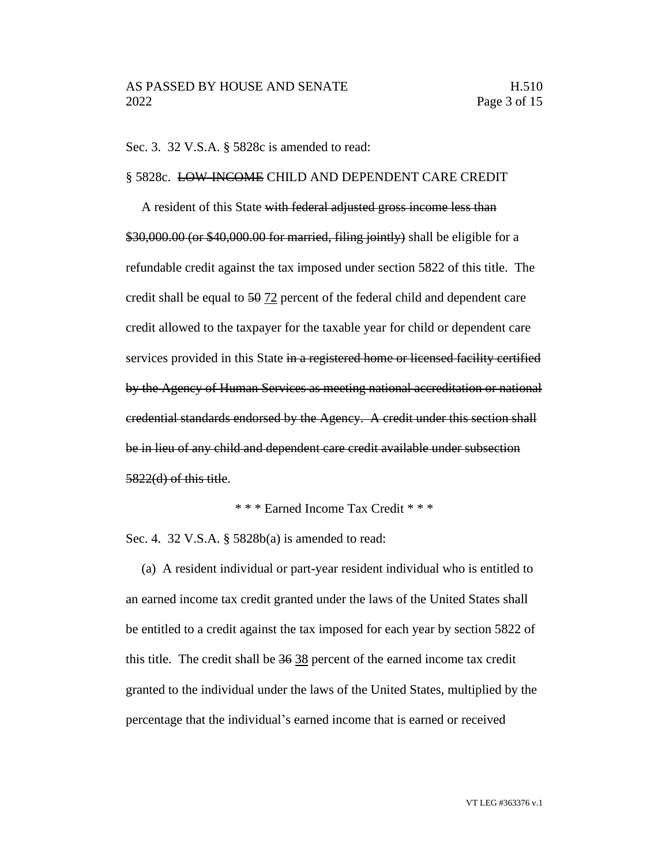Sec. 3. 32 V.S.A. § 5828c is amended to read:

#### § 5828c. LOW-INCOME CHILD AND DEPENDENT CARE CREDIT

A resident of this State with federal adjusted gross income less than \$30,000.00 (or \$40,000.00 for married, filing jointly) shall be eligible for a refundable credit against the tax imposed under section 5822 of this title. The credit shall be equal to 50 72 percent of the federal child and dependent care credit allowed to the taxpayer for the taxable year for child or dependent care services provided in this State in a registered home or licensed facility certified by the Agency of Human Services as meeting national accreditation or national credential standards endorsed by the Agency. A credit under this section shall be in lieu of any child and dependent care credit available under subsection 5822(d) of this title.

\* \* \* Earned Income Tax Credit \* \* \*

Sec. 4. 32 V.S.A. § 5828b(a) is amended to read:

(a) A resident individual or part-year resident individual who is entitled to an earned income tax credit granted under the laws of the United States shall be entitled to a credit against the tax imposed for each year by section 5822 of this title. The credit shall be 36 38 percent of the earned income tax credit granted to the individual under the laws of the United States, multiplied by the percentage that the individual's earned income that is earned or received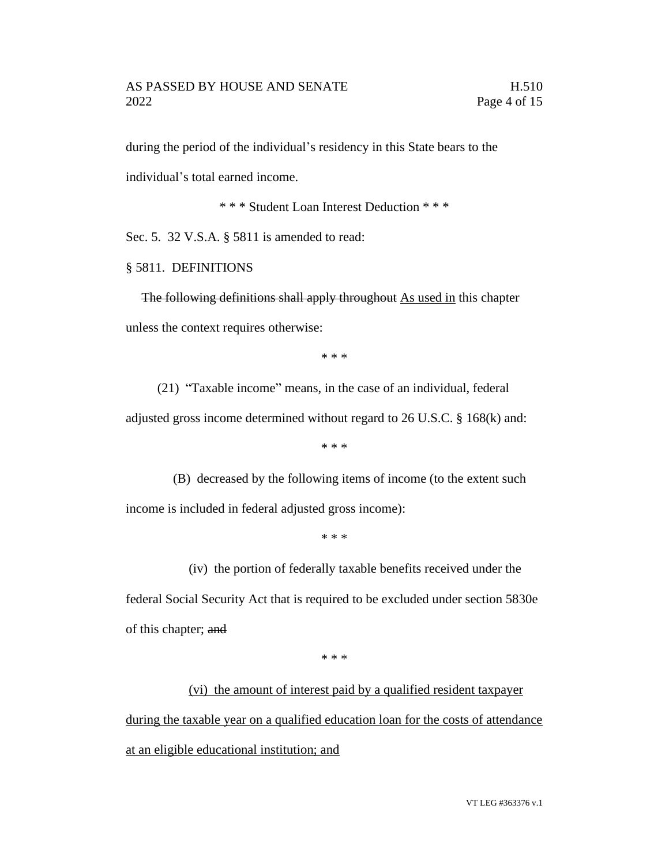during the period of the individual's residency in this State bears to the individual's total earned income.

\* \* \* Student Loan Interest Deduction \* \* \*

Sec. 5. 32 V.S.A. § 5811 is amended to read:

# § 5811. DEFINITIONS

The following definitions shall apply throughout As used in this chapter unless the context requires otherwise:

\* \* \*

(21) "Taxable income" means, in the case of an individual, federal adjusted gross income determined without regard to 26 U.S.C. § 168(k) and:

\* \* \*

(B) decreased by the following items of income (to the extent such income is included in federal adjusted gross income):

\* \* \*

(iv) the portion of federally taxable benefits received under the

federal Social Security Act that is required to be excluded under section 5830e of this chapter; and

\* \* \*

(vi) the amount of interest paid by a qualified resident taxpayer during the taxable year on a qualified education loan for the costs of attendance at an eligible educational institution; and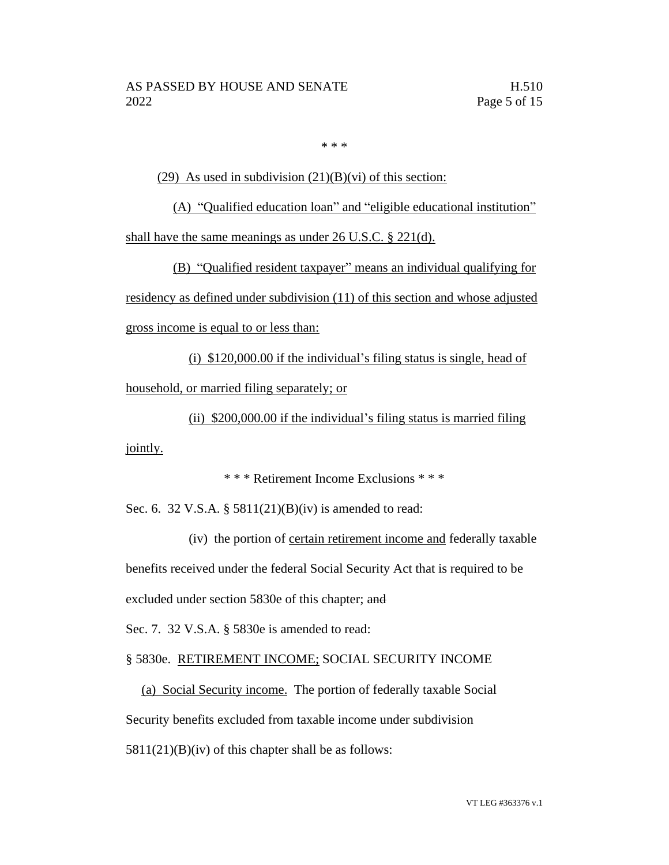\* \* \*

(29) As used in subdivision  $(21)(B)(vi)$  of this section:

(A) "Qualified education loan" and "eligible educational institution" shall have the same meanings as under 26 U.S.C. § 221(d).

(B) "Qualified resident taxpayer" means an individual qualifying for residency as defined under subdivision (11) of this section and whose adjusted gross income is equal to or less than:

(i) \$120,000.00 if the individual's filing status is single, head of household, or married filing separately; or

(ii) \$200,000.00 if the individual's filing status is married filing

jointly.

\* \* \* Retirement Income Exclusions \* \* \*

Sec. 6. 32 V.S.A. § 5811(21)(B)(iv) is amended to read:

(iv) the portion of certain retirement income and federally taxable benefits received under the federal Social Security Act that is required to be excluded under section 5830e of this chapter; and

Sec. 7. 32 V.S.A. § 5830e is amended to read:

§ 5830e. RETIREMENT INCOME; SOCIAL SECURITY INCOME

(a) Social Security income. The portion of federally taxable Social Security benefits excluded from taxable income under subdivision  $5811(21)(B)(iv)$  of this chapter shall be as follows: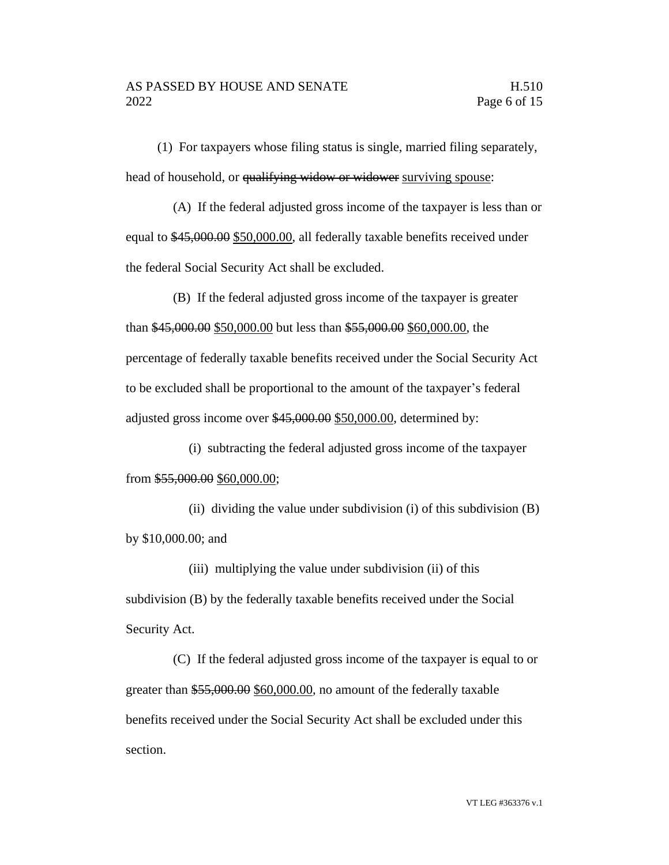(1) For taxpayers whose filing status is single, married filing separately, head of household, or qualifying widow or widower surviving spouse:

(A) If the federal adjusted gross income of the taxpayer is less than or equal to \$45,000.00 \$50,000.00, all federally taxable benefits received under the federal Social Security Act shall be excluded.

(B) If the federal adjusted gross income of the taxpayer is greater than \$45,000.00 \$50,000.00 but less than \$55,000.00 \$60,000.00, the percentage of federally taxable benefits received under the Social Security Act to be excluded shall be proportional to the amount of the taxpayer's federal adjusted gross income over \$45,000.00 \$50,000.00, determined by:

(i) subtracting the federal adjusted gross income of the taxpayer from \$55,000.00 \$60,000.00;

(ii) dividing the value under subdivision (i) of this subdivision  $(B)$ by \$10,000.00; and

(iii) multiplying the value under subdivision (ii) of this subdivision (B) by the federally taxable benefits received under the Social Security Act.

(C) If the federal adjusted gross income of the taxpayer is equal to or greater than \$55,000.00 \$60,000.00, no amount of the federally taxable benefits received under the Social Security Act shall be excluded under this section.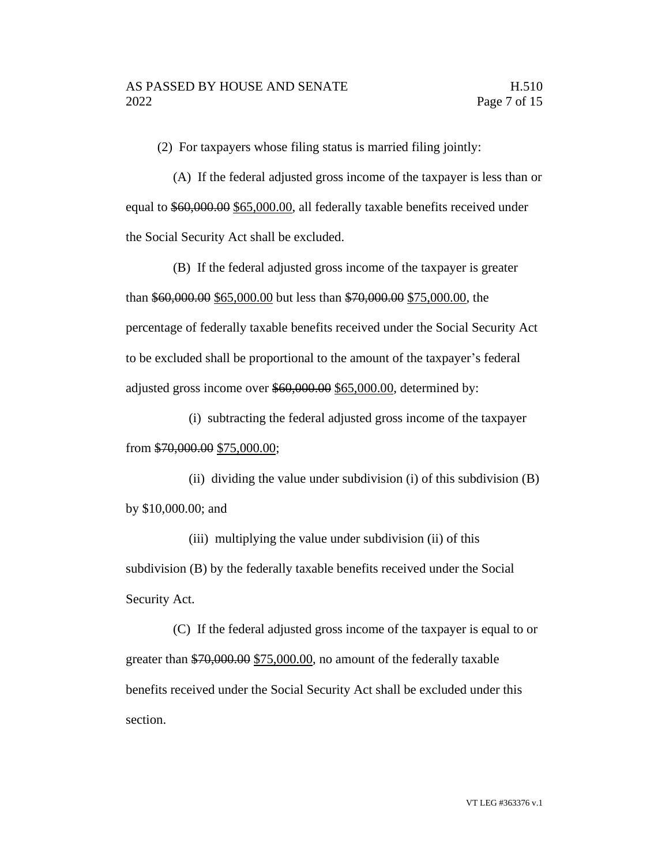(2) For taxpayers whose filing status is married filing jointly:

(A) If the federal adjusted gross income of the taxpayer is less than or equal to \$60,000.00 \$65,000.00, all federally taxable benefits received under the Social Security Act shall be excluded.

(B) If the federal adjusted gross income of the taxpayer is greater than \$60,000.00 \$65,000.00 but less than \$70,000.00 \$75,000.00, the percentage of federally taxable benefits received under the Social Security Act to be excluded shall be proportional to the amount of the taxpayer's federal adjusted gross income over \$60,000.00 \$65,000.00, determined by:

(i) subtracting the federal adjusted gross income of the taxpayer from \$70,000.00 \$75,000.00;

(ii) dividing the value under subdivision (i) of this subdivision  $(B)$ by \$10,000.00; and

(iii) multiplying the value under subdivision (ii) of this subdivision (B) by the federally taxable benefits received under the Social Security Act.

(C) If the federal adjusted gross income of the taxpayer is equal to or greater than \$70,000.00 \$75,000.00, no amount of the federally taxable benefits received under the Social Security Act shall be excluded under this section.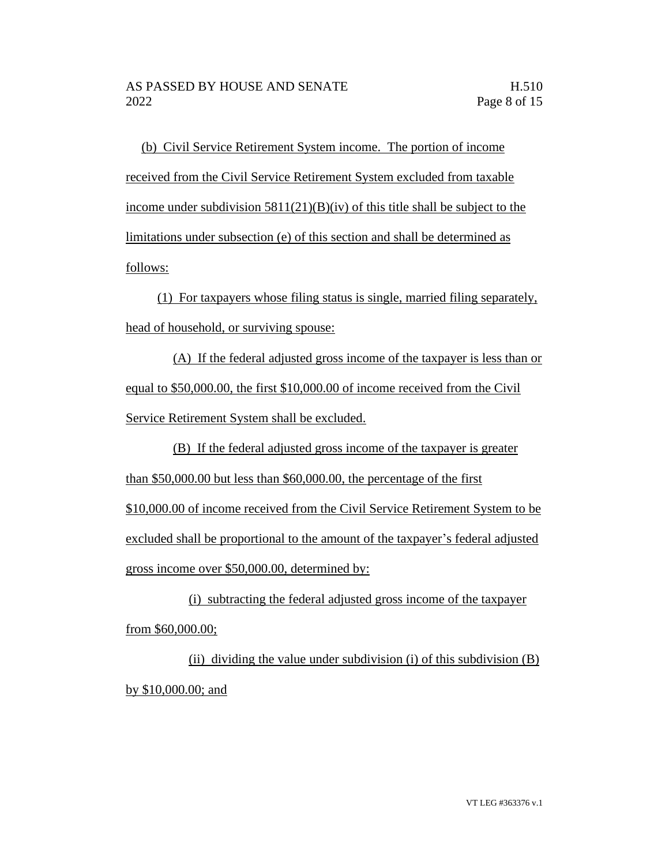(b) Civil Service Retirement System income. The portion of income received from the Civil Service Retirement System excluded from taxable income under subdivision  $5811(21)(B)(iv)$  of this title shall be subject to the limitations under subsection (e) of this section and shall be determined as follows:

(1) For taxpayers whose filing status is single, married filing separately, head of household, or surviving spouse:

(A) If the federal adjusted gross income of the taxpayer is less than or equal to \$50,000.00, the first \$10,000.00 of income received from the Civil Service Retirement System shall be excluded.

(B) If the federal adjusted gross income of the taxpayer is greater than \$50,000.00 but less than \$60,000.00, the percentage of the first \$10,000.00 of income received from the Civil Service Retirement System to be excluded shall be proportional to the amount of the taxpayer's federal adjusted gross income over \$50,000.00, determined by:

(i) subtracting the federal adjusted gross income of the taxpayer from \$60,000.00;

(ii) dividing the value under subdivision (i) of this subdivision (B) by \$10,000.00; and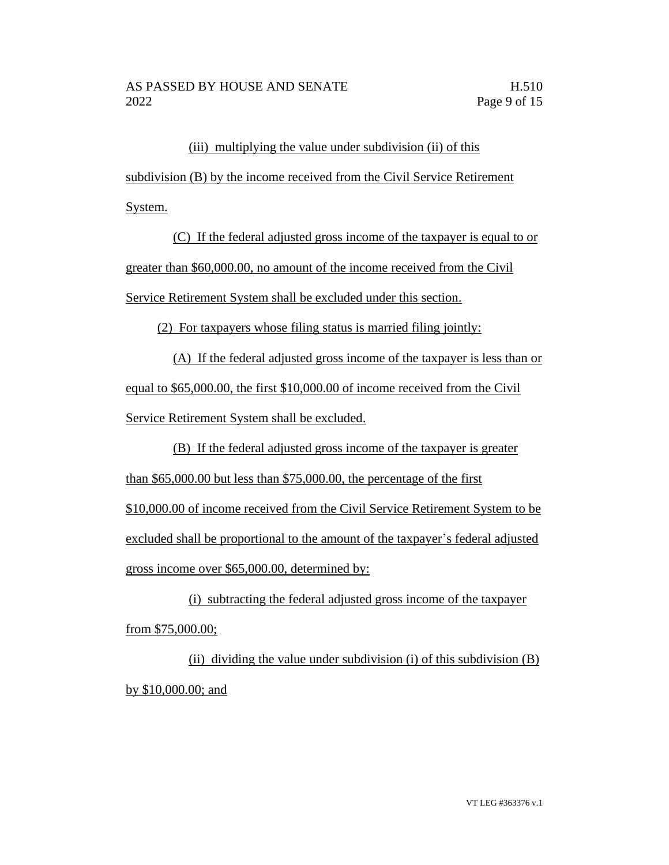# (iii) multiplying the value under subdivision (ii) of this

subdivision (B) by the income received from the Civil Service Retirement System.

(C) If the federal adjusted gross income of the taxpayer is equal to or greater than \$60,000.00, no amount of the income received from the Civil Service Retirement System shall be excluded under this section.

(2) For taxpayers whose filing status is married filing jointly:

(A) If the federal adjusted gross income of the taxpayer is less than or equal to \$65,000.00, the first \$10,000.00 of income received from the Civil Service Retirement System shall be excluded.

(B) If the federal adjusted gross income of the taxpayer is greater than \$65,000.00 but less than \$75,000.00, the percentage of the first \$10,000.00 of income received from the Civil Service Retirement System to be excluded shall be proportional to the amount of the taxpayer's federal adjusted gross income over \$65,000.00, determined by:

(i) subtracting the federal adjusted gross income of the taxpayer from \$75,000.00;

(ii) dividing the value under subdivision (i) of this subdivision (B) by \$10,000.00; and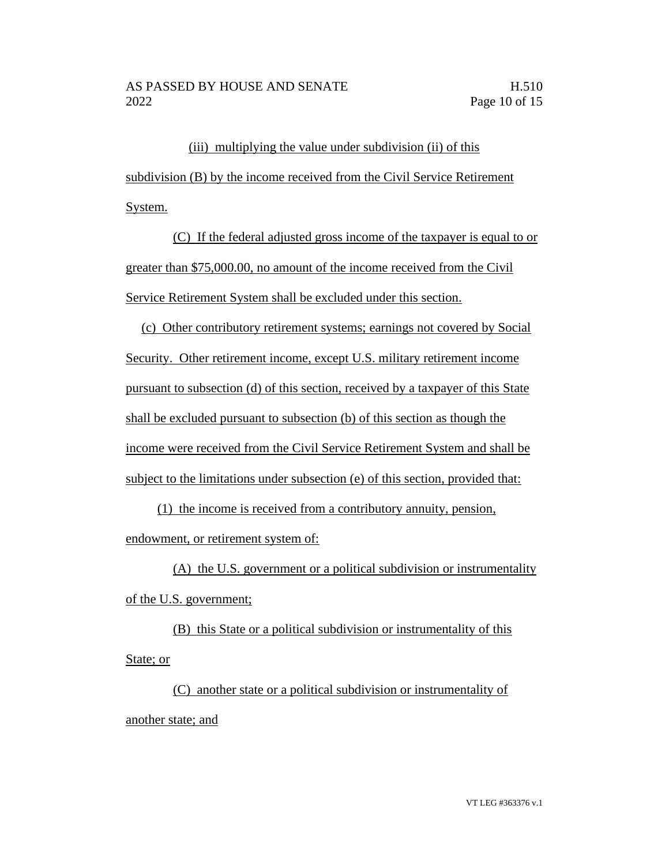(iii) multiplying the value under subdivision (ii) of this subdivision (B) by the income received from the Civil Service Retirement System.

(C) If the federal adjusted gross income of the taxpayer is equal to or greater than \$75,000.00, no amount of the income received from the Civil Service Retirement System shall be excluded under this section.

(c) Other contributory retirement systems; earnings not covered by Social Security. Other retirement income, except U.S. military retirement income pursuant to subsection (d) of this section, received by a taxpayer of this State shall be excluded pursuant to subsection (b) of this section as though the income were received from the Civil Service Retirement System and shall be subject to the limitations under subsection (e) of this section, provided that:

(1) the income is received from a contributory annuity, pension, endowment, or retirement system of:

(A) the U.S. government or a political subdivision or instrumentality of the U.S. government;

(B) this State or a political subdivision or instrumentality of this State; or

(C) another state or a political subdivision or instrumentality of another state; and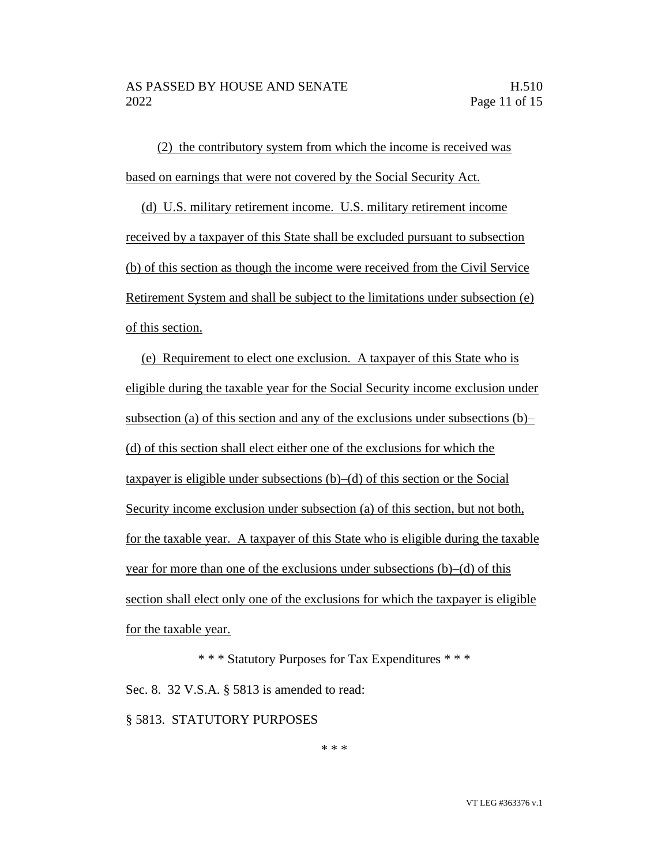(2) the contributory system from which the income is received was based on earnings that were not covered by the Social Security Act.

(d) U.S. military retirement income. U.S. military retirement income received by a taxpayer of this State shall be excluded pursuant to subsection (b) of this section as though the income were received from the Civil Service Retirement System and shall be subject to the limitations under subsection (e) of this section.

(e) Requirement to elect one exclusion. A taxpayer of this State who is eligible during the taxable year for the Social Security income exclusion under subsection (a) of this section and any of the exclusions under subsections (b)– (d) of this section shall elect either one of the exclusions for which the taxpayer is eligible under subsections (b)–(d) of this section or the Social Security income exclusion under subsection (a) of this section, but not both, for the taxable year. A taxpayer of this State who is eligible during the taxable year for more than one of the exclusions under subsections (b)–(d) of this section shall elect only one of the exclusions for which the taxpayer is eligible for the taxable year.

\* \* \* Statutory Purposes for Tax Expenditures \* \* \* Sec. 8. 32 V.S.A. § 5813 is amended to read:

§ 5813. STATUTORY PURPOSES

\* \* \*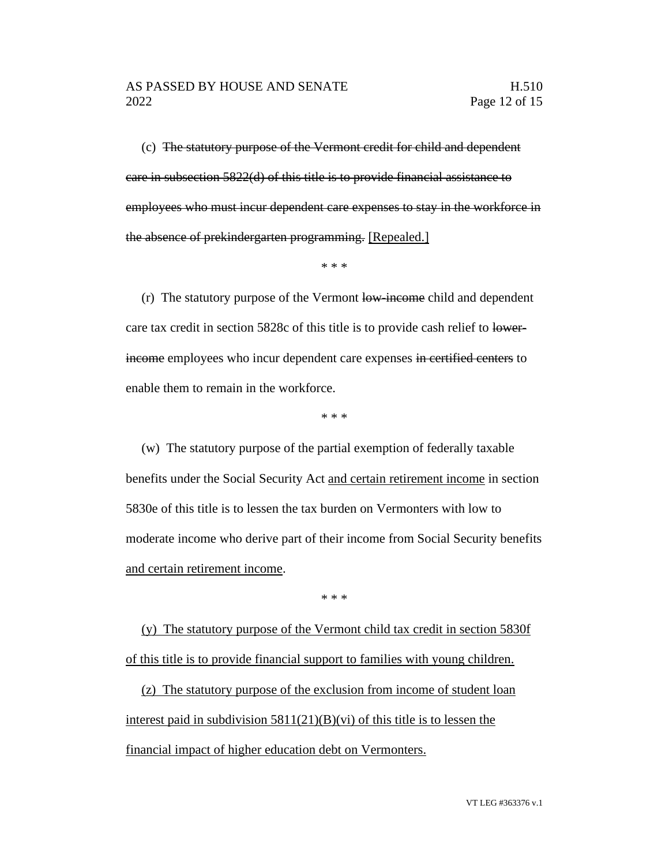(c) The statutory purpose of the Vermont credit for child and dependent care in subsection 5822(d) of this title is to provide financial assistance to employees who must incur dependent care expenses to stay in the workforce in the absence of prekindergarten programming. [Repealed.]

\* \* \*

(r) The statutory purpose of the Vermont low-income child and dependent care tax credit in section 5828c of this title is to provide cash relief to lowerincome employees who incur dependent care expenses in certified centers to enable them to remain in the workforce.

\* \* \*

(w) The statutory purpose of the partial exemption of federally taxable benefits under the Social Security Act and certain retirement income in section 5830e of this title is to lessen the tax burden on Vermonters with low to moderate income who derive part of their income from Social Security benefits and certain retirement income.

\* \* \*

(y) The statutory purpose of the Vermont child tax credit in section 5830f of this title is to provide financial support to families with young children.

(z) The statutory purpose of the exclusion from income of student loan interest paid in subdivision  $5811(21)(B)(vi)$  of this title is to lessen the financial impact of higher education debt on Vermonters.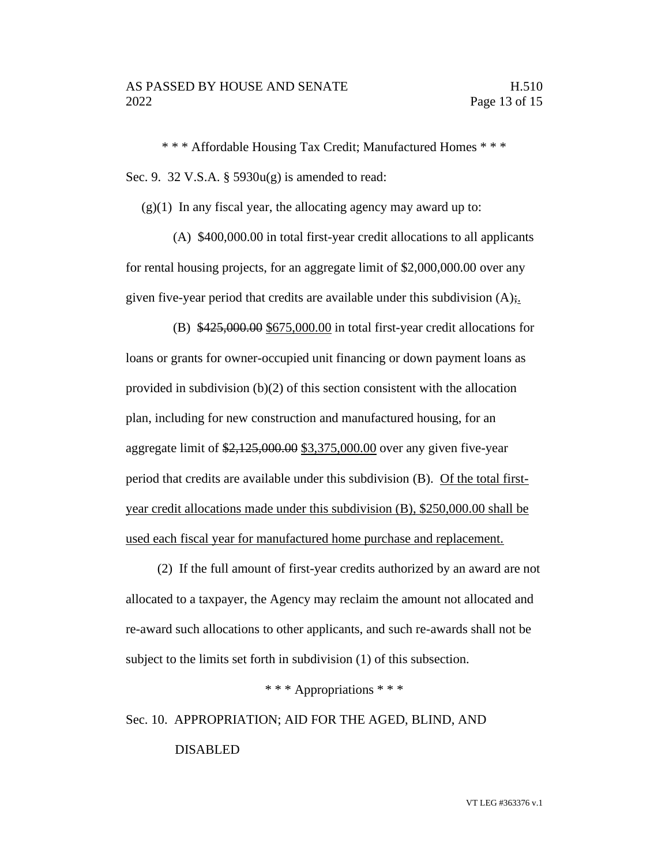\* \* \* Affordable Housing Tax Credit; Manufactured Homes \* \* \* Sec. 9. 32 V.S.A. § 5930u(g) is amended to read:

 $(g)(1)$  In any fiscal year, the allocating agency may award up to:

(A) \$400,000.00 in total first-year credit allocations to all applicants for rental housing projects, for an aggregate limit of \$2,000,000.00 over any given five-year period that credits are available under this subdivision  $(A)$ ;

(B) \$425,000.00 \$675,000.00 in total first-year credit allocations for loans or grants for owner-occupied unit financing or down payment loans as provided in subdivision (b)(2) of this section consistent with the allocation plan, including for new construction and manufactured housing, for an aggregate limit of \$2,125,000.00 \$3,375,000.00 over any given five-year period that credits are available under this subdivision (B). Of the total firstyear credit allocations made under this subdivision (B), \$250,000.00 shall be used each fiscal year for manufactured home purchase and replacement.

(2) If the full amount of first-year credits authorized by an award are not allocated to a taxpayer, the Agency may reclaim the amount not allocated and re-award such allocations to other applicants, and such re-awards shall not be subject to the limits set forth in subdivision (1) of this subsection.

\* \* \* Appropriations \* \* \*

Sec. 10. APPROPRIATION; AID FOR THE AGED, BLIND, AND

DISABLED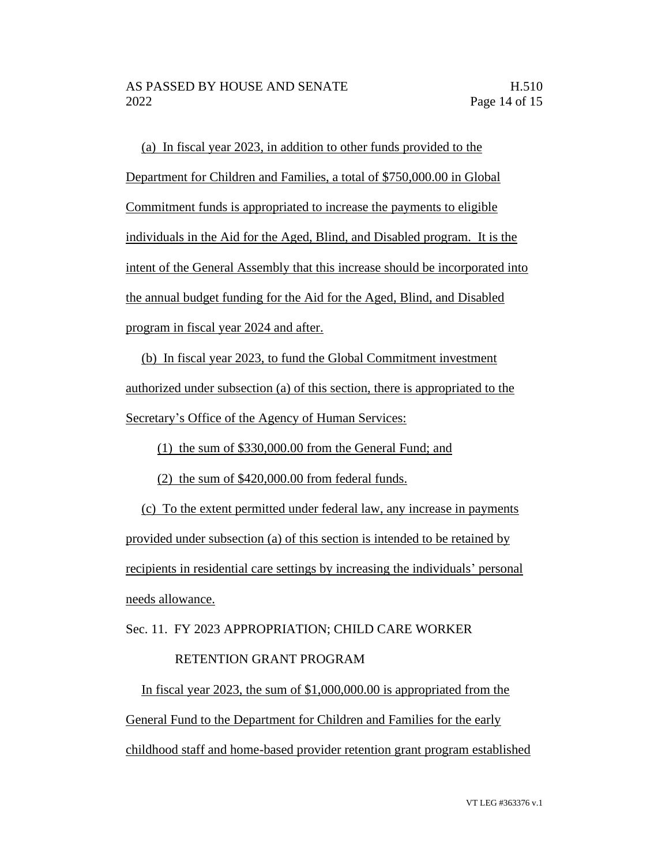(a) In fiscal year 2023, in addition to other funds provided to the Department for Children and Families, a total of \$750,000.00 in Global Commitment funds is appropriated to increase the payments to eligible individuals in the Aid for the Aged, Blind, and Disabled program. It is the intent of the General Assembly that this increase should be incorporated into the annual budget funding for the Aid for the Aged, Blind, and Disabled program in fiscal year 2024 and after.

(b) In fiscal year 2023, to fund the Global Commitment investment authorized under subsection (a) of this section, there is appropriated to the Secretary's Office of the Agency of Human Services:

(1) the sum of \$330,000.00 from the General Fund; and

(2) the sum of \$420,000.00 from federal funds.

(c) To the extent permitted under federal law, any increase in payments provided under subsection (a) of this section is intended to be retained by recipients in residential care settings by increasing the individuals' personal needs allowance.

Sec. 11. FY 2023 APPROPRIATION; CHILD CARE WORKER

# RETENTION GRANT PROGRAM

In fiscal year 2023, the sum of \$1,000,000.00 is appropriated from the General Fund to the Department for Children and Families for the early childhood staff and home-based provider retention grant program established